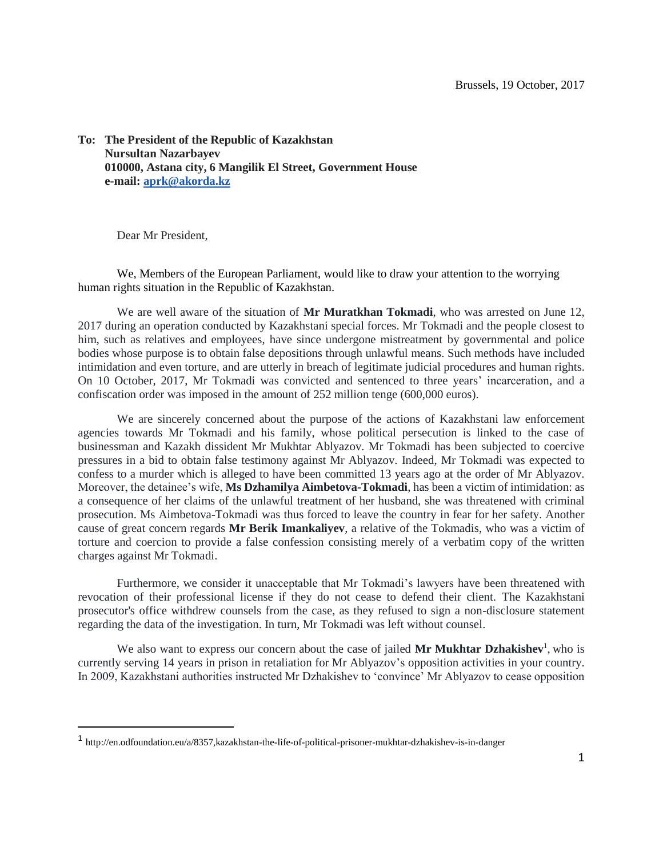**To: The President of the Republic of Kazakhstan Nursultan Nazarbayev 010000, Astana city, 6 Mangilik El Street, Government House e-mail: [aprk@akorda.kz](mailto:aprk@akorda.kz)**

Dear Mr President,

 $\overline{a}$ 

We, Members of the European Parliament, would like to draw your attention to the worrying human rights situation in the Republic of Kazakhstan.

We are well aware of the situation of **Mr Muratkhan Tokmadi**, who was arrested on June 12, 2017 during an operation conducted by Kazakhstani special forces. Mr Tokmadi and the people closest to him, such as relatives and employees, have since undergone mistreatment by governmental and police bodies whose purpose is to obtain false depositions through unlawful means. Such methods have included intimidation and even torture, and are utterly in breach of legitimate judicial procedures and human rights. On 10 October, 2017, Mr Tokmadi was convicted and sentenced to three years' incarceration, and a confiscation order was imposed in the amount of 252 million tenge (600,000 euros).

We are sincerely concerned about the purpose of the actions of Kazakhstani law enforcement agencies towards Mr Tokmadi and his family, whose political persecution is linked to the case of businessman and Kazakh dissident Mr Mukhtar Ablyazov. Mr Tokmadi has been subjected to coercive pressures in a bid to obtain false testimony against Mr Ablyazov. Indeed, Mr Tokmadi was expected to confess to a murder which is alleged to have been committed 13 years ago at the order of Mr Ablyazov. Moreover, the detainee's wife, **Ms Dzhamilya Aimbetova-Tokmadi**, has been a victim of intimidation: as a consequence of her claims of the unlawful treatment of her husband, she was threatened with criminal prosecution. Ms Aimbetova-Tokmadi was thus forced to leave the country in fear for her safety. Another cause of great concern regards **Mr Berik Imankaliyev**, a relative of the Tokmadis, who was a victim of torture and coercion to provide a false confession consisting merely of a verbatim copy of the written charges against Mr Tokmadi.

Furthermore, we consider it unacceptable that Mr Tokmadi's lawyers have been threatened with revocation of their professional license if they do not cease to defend their client. The Kazakhstani prosecutor's office withdrew counsels from the case, as they refused to sign a non-disclosure statement regarding the data of the investigation. In turn, Mr Tokmadi was left without counsel.

We also want to express our concern about the case of jailed Mr Mukhtar Dzhakishev<sup>1</sup>, who is currently serving 14 years in prison in retaliation for Mr Ablyazov's opposition activities in your country. In 2009, Kazakhstani authorities instructed Mr Dzhakishev to 'convince' Mr Ablyazov to cease opposition

<sup>1</sup> http://en.odfoundation.eu/a/8357,kazakhstan-the-life-of-political-prisoner-mukhtar-dzhakishev-is-in-danger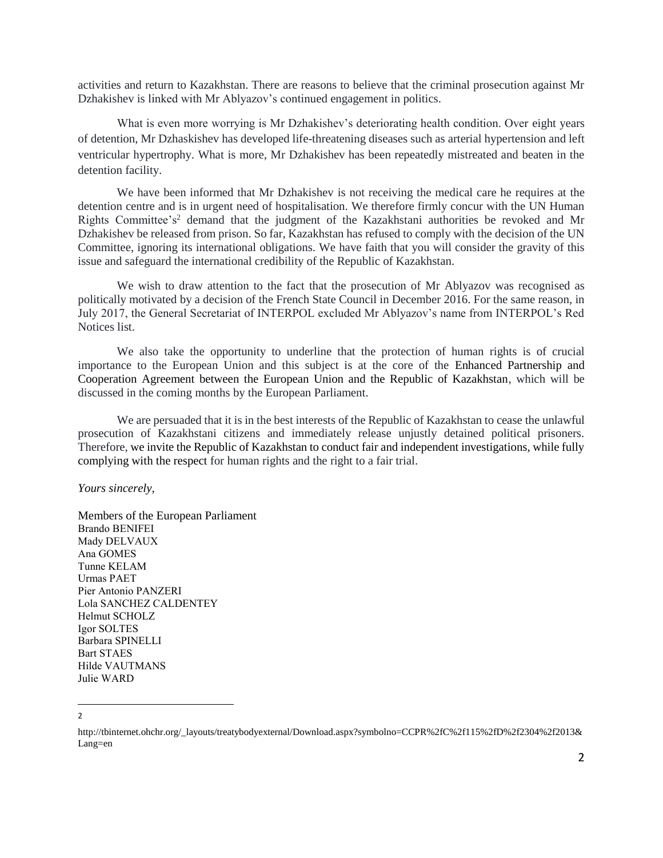activities and return to Kazakhstan. There are reasons to believe that the criminal prosecution against Mr Dzhakishev is linked with Mr Ablyazov's continued engagement in politics.

What is even more worrying is Mr Dzhakishev's deteriorating health condition. Over eight years of detention, Mr Dzhaskishev has developed life-threatening diseases such as arterial hypertension and left ventricular hypertrophy. What is more, Mr Dzhakishev has been repeatedly mistreated and beaten in the detention facility.

We have been informed that Mr Dzhakishev is not receiving the medical care he requires at the detention centre and is in urgent need of hospitalisation. We therefore firmly concur with the UN Human Rights Committee's<sup>2</sup> demand that the judgment of the Kazakhstani authorities be revoked and Mr Dzhakishev be released from prison. So far, Kazakhstan has refused to comply with the decision of the UN Committee, ignoring its international obligations. We have faith that you will consider the gravity of this issue and safeguard the international credibility of the Republic of Kazakhstan.

We wish to draw attention to the fact that the prosecution of Mr Ablyazov was recognised as politically motivated by a decision of the French State Council in December 2016. For the same reason, in July 2017, the General Secretariat of INTERPOL excluded Mr Ablyazov's name from INTERPOL's Red Notices list.

We also take the opportunity to underline that the protection of human rights is of crucial importance to the European Union and this subject is at the core of the Enhanced Partnership and Cooperation Agreement between the European Union and the Republic of Kazakhstan, which will be discussed in the coming months by the European Parliament.

We are persuaded that it is in the best interests of the Republic of Kazakhstan to cease the unlawful prosecution of Kazakhstani citizens and immediately release unjustly detained political prisoners. Therefore, we invite the Republic of Kazakhstan to conduct fair and independent investigations, while fully complying with the respect for human rights and the right to a fair trial.

*Yours sincerely,*

Members of the European Parliament Brando BENIFEI Mady DELVAUX Ana GOMES Tunne KELAM Urmas PAET Pier Antonio PANZERI Lola SANCHEZ CALDENTEY Helmut SCHOLZ Igor SOLTES Barbara SPINELLI Bart STAES Hilde VAUTMANS Julie WARD

 $\overline{a}$ 2

http://tbinternet.ohchr.org/\_layouts/treatybodyexternal/Download.aspx?symbolno=CCPR%2fC%2f115%2fD%2f2304%2f2013& Lang=en